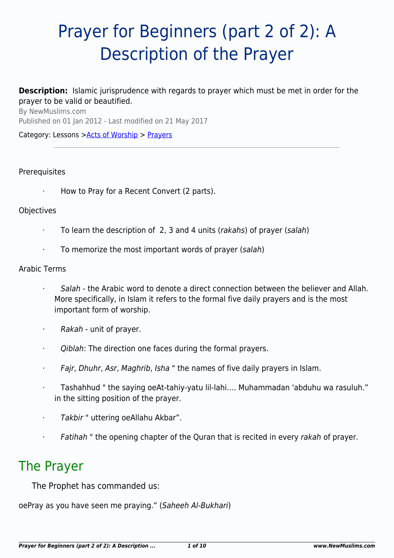# Prayer for Beginners (part 2 of 2): A Description of the Prayer

# **Description:** Islamic jurisprudence with regards to prayer which must be met in order for the prayer to be valid or beautified.

By NewMuslims.com Published on 01 Jan 2012 - Last modified on 21 May 2017

Category: Lessons >[Acts of Worship](http://www.newmuslims.com/category/132/) > [Prayers](http://www.newmuslims.com/category/147/)

#### **Prerequisites**

How to Pray for a Recent Convert (2 parts).

#### **Objectives**

- · To learn the description of 2, 3 and 4 units (rakahs) of prayer (salah)
- To memorize the most important words of prayer (salah)

#### Arabic Terms

- Salah the Arabic word to denote a direct connection between the believer and Allah. More specifically, in Islam it refers to the formal five daily prayers and is the most important form of worship.
- $\cdot$  Rakah unit of prayer.
- · Qiblah: The direction one faces during the formal prayers.
- · Fajr, Dhuhr, Asr, Maghrib, Isha " the names of five daily prayers in Islam.
- · Tashahhud " the saying oeAt-tahiy-yatu lil-lahi…. Muhammadan 'abduhu wa rasuluh." in the sitting position of the prayer.
- · Takbir " uttering oeAllahu Akbar".
- · Fatihah " the opening chapter of the Quran that is recited in every rakah of prayer.

# The Prayer

The Prophet has commanded us:

oePray as you have seen me praying." (Saheeh Al-Bukhari)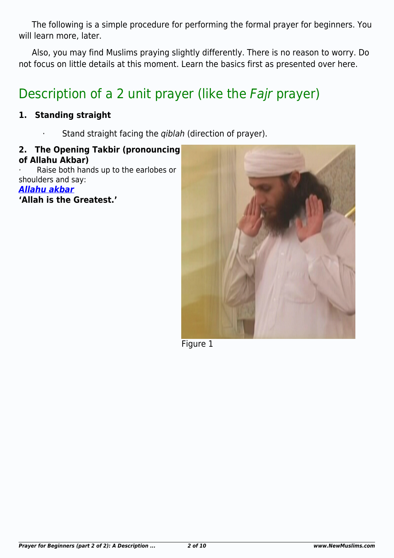The following is a simple procedure for performing the formal prayer for beginners. You will learn more, later.

Also, you may find Muslims praying slightly differently. There is no reason to worry. Do not focus on little details at this moment. Learn the basics first as presented over here.

# Description of a 2 unit prayer (like the Fajr prayer)

# **1. Standing straight**

Stand straight facing the *qiblah* (direction of prayer).

#### **2. The Opening Takbir (pronouncing of Allahu Akbar)**

Raise both hands up to the earlobes or shoulders and say:

*[Allahu akbar](http://www.newmuslims.com/audio/Allahu_Akbar.mp3)*

**'Allah is the Greatest.'**



Figure 1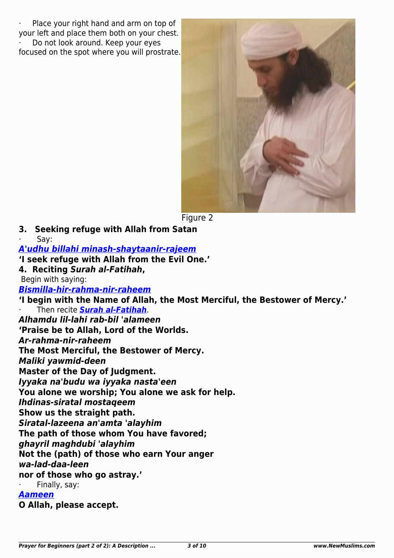Place your right hand and arm on top of your left and place them both on your chest. Do not look around. Keep your eyes focused on the spot where you will prostrate.



Figure 2

- **3. Seeking refuge with Allah from Satan**
- Say:

*[A](http://www.newmuslims.com/audio/Audhu_Billahi.mp3)***['](http://www.newmuslims.com/audio/Audhu_Billahi.mp3)***[udhu billahi minash-shaytaanir-rajeem](http://www.newmuslims.com/audio/Audhu_Billahi.mp3)*

**'I seek refuge with Allah from the Evil One.'**

**4. Reciting** *Surah al-Fatihah***,**

Begin with saying:

*[Bismilla-hir-rahma-nir-raheem](http://www.newmuslims.com/audio/Bisimllah.mp3)*

**'I begin with the Name of Allah, the Most Merciful, the Bestower of Mercy.'**

· Then recite *[Surah al-Fatihah](http://www.newmuslims.com/audio/Alhamdu_lillahi_rabbil.mp3)*.

*Alhamdu lil-lahi rab-bil 'alameen* **'Praise be to Allah, Lord of the Worlds.**

*Ar-rahma-nir-raheem*

**The Most Merciful, the Bestower of Mercy.**

*Maliki yawmid-deen*

**Master of the Day of Judgment.**

*Iyyaka na'budu wa iyyaka nasta'een*

**You alone we worship; You alone we ask for help.**

*Ihdinas-siratal mostaqeem*

**Show us the straight path.**

*Siratal-lazeena an'amta 'alayhim*

**The path of those whom You have favored;**

*ghayril maghdubi 'alayhim*

**Not the (path) of those who earn Your anger**

*wa-lad-daa-leen*

**nor of those who go astray.'**

Finally, say:

#### *[Aameen](http://www.newmuslims.com/audio/Aameen.mp3)*

**O Allah, please accept.**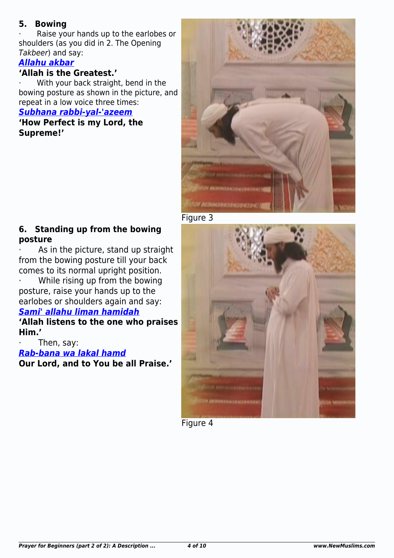# **5. Bowing**

Raise your hands up to the earlobes or shoulders (as you did in 2. The Opening Takbeer) and say:

# *[Allahu akbar](http://www.newmuslims.com/audio/Allahu_Akbar.mp3)*

# **'Allah is the Greatest.'**

With your back straight, bend in the bowing posture as shown in the picture, and repeat in a low voice three times:

#### *[Subhana rabbi-yal-'azeem](http://www.newmuslims.com/audio/Subhana_Rabbi_yal_azim.mp3)*

**'How Perfect is my Lord, the Supreme!'**



Figure 3

# **6. Standing up from the bowing posture**

As in the picture, stand up straight from the bowing posture till your back comes to its normal upright position.

· While rising up from the bowing posture, raise your hands up to the earlobes or shoulders again and say:

# *[Sami' allahu liman hamidah](http://www.newmuslims.com/audio/Sami_Allah.mp3)*

**'Allah listens to the one who praises Him.'**

Then, say: *[Rab-bana wa lakal hamd](http://www.newmuslims.com/audio/Rabbana_wa_lakal_hamd.mp3)* **Our Lord, and to You be all Praise.'**



Figure 4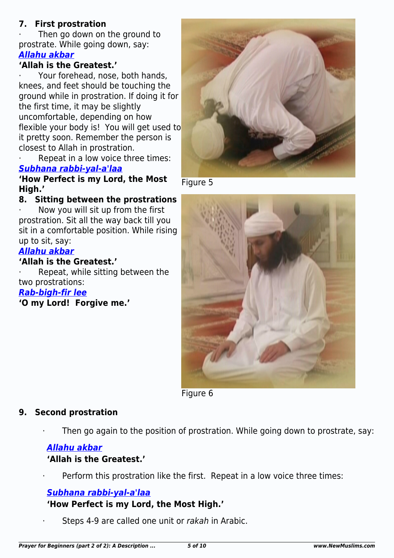# **7. First prostration**

Then go down on the ground to prostrate. While going down, say: *[Allahu akbar](http://www.newmuslims.com/audio/Allahu_Akbar.mp3)*

# **'Allah is the Greatest.'**

· Your forehead, nose, both hands, knees, and feet should be touching the ground while in prostration. If doing it for the first time, it may be slightly uncomfortable, depending on how flexible your body is! You will get used to it pretty soon. Remember the person is closest to Allah in prostration.

Repeat in a low voice three times: *[Subhana rabbi-yal-a'laa](http://www.newmuslims.com/audio/Subhana_Rabbi_yal_aala.mp3)*

**'How Perfect is my Lord, the Most High.'**

# **8. Sitting between the prostrations**

Now you will sit up from the first prostration. Sit all the way back till you sit in a comfortable position. While rising up to sit, say:

### *[Allahu akbar](http://www.newmuslims.com/audio/Allahu_Akbar.mp3)*

### **'Allah is the Greatest.'**

Repeat, while sitting between the two prostrations:

#### *[Rab-bigh-fir lee](http://www.newmuslims.com/audio/Rabb_igh-fir_lee.mp3)*

**'O my Lord! Forgive me.'**



Figure 5



Figure 6

#### **9. Second prostration**

Then go again to the position of prostration. While going down to prostrate, say:

#### *[Allahu akbar](http://www.newmuslims.com/audio/Allahu_Akbar.mp3)*

# **'Allah is the Greatest.'**

Perform this prostration like the first. Repeat in a low voice three times:

# *[Subhana rabbi-yal-a'laa](http://www.newmuslims.com/audio/Subhana_Rabbi_yal_aala.mp3)*

# **'How Perfect is my Lord, the Most High.'**

Steps 4-9 are called one unit or rakah in Arabic.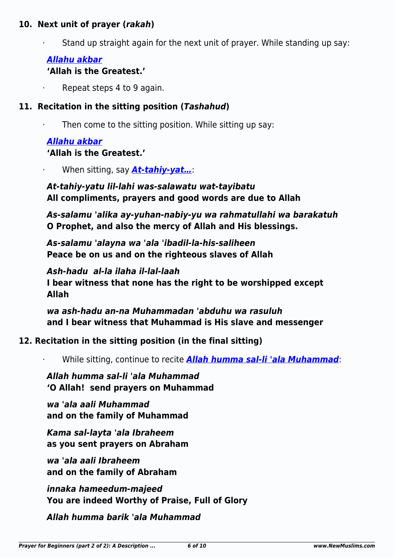### **10. Next unit of prayer (***rakah***)**

Stand up straight again for the next unit of prayer. While standing up say:

# *[Allahu akbar](http://www.newmuslims.com/audio/Allahu_Akbar.mp3)*

# **'Allah is the Greatest.'**

Repeat steps 4 to 9 again.

# **11. Recitation in the sitting position (***Tashahud***)**

Then come to the sitting position. While sitting up say:

# *[Allahu akbar](http://www.newmuslims.com/audio/Allahu_Akbar.mp3)*

# **'Allah is the Greatest.'**

· When sitting, say *[At-tahiy-yat…](http://www.newmuslims.com/audio/At-Tahiyyat.mp3)*:

# *At-tahiy-yatu lil-lahi was-salawatu wat-tayibatu* **All compliments, prayers and good words are due to Allah**

*As-salamu 'alika ay-yuhan-nabiy-yu wa rahmatullahi wa barakatuh* **O Prophet, and also the mercy of Allah and His blessings.**

*As-salamu 'alayna wa 'ala 'ibadil-la-his-saliheen* **Peace be on us and on the righteous slaves of Allah**

*Ash-hadu al-la ilaha il-lal-laah* **I bear witness that none has the right to be worshipped except Allah**

*wa ash-hadu an-na Muhammadan 'abduhu wa rasuluh* **and I bear witness that Muhammad is His slave and messenger**

# **12. Recitation in the sitting position (in the final sitting)**

· While sitting, continue to recite *[Allah humma sal-li 'ala Muhammad](http://www.newmuslims.com/audio/Allah_humma_salli.mp3)*:

# *Allah humma sal-li 'ala Muhammad* **'O Allah! send prayers on Muhammad**

*wa 'ala aali Muhammad* **and on the family of Muhammad**

*Kama sal-layta 'ala Ibraheem* **as you sent prayers on Abraham**

*wa 'ala aali Ibraheem* **and on the family of Abraham**

*innaka hameedum-majeed* **You are indeed Worthy of Praise, Full of Glory**

*Allah humma barik 'ala Muhammad*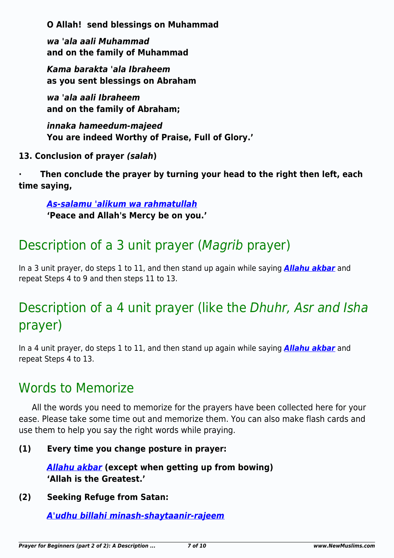**O Allah! send blessings on Muhammad**

*wa 'ala aali Muhammad* **and on the family of Muhammad**

*Kama barakta 'ala Ibraheem* **as you sent blessings on Abraham**

*wa 'ala aali Ibraheem* **and on the family of Abraham;**

*innaka hameedum-majeed* **You are indeed Worthy of Praise, Full of Glory.'**

**13. Conclusion of prayer** *(salah***)**

**· Then conclude the prayer by turning your head to the right then left, each time saying,**

*[As-salamu 'alikum wa rahmatullah](http://www.newmuslims.com/audio/Assalamu_Alaikum.mp3)* **'Peace and Allah's Mercy be on you.'**

# Description of a 3 unit prayer (Magrib prayer)

In a 3 unit prayer, do steps 1 to 11, and then stand up again while saying *[Allahu akbar](http://www.newmuslims.com/audio/Allahu_Akbar.mp3)* and repeat Steps 4 to 9 and then steps 11 to 13.

# Description of a 4 unit prayer (like the Dhuhr, Asr and Isha prayer)

In a 4 unit prayer, do steps 1 to 11, and then stand up again while saying *[Allahu akbar](http://www.newmuslims.com/audio/Allahu_Akbar.mp3)* and repeat Steps 4 to 13.

# Words to Memorize

All the words you need to memorize for the prayers have been collected here for your ease. Please take some time out and memorize them. You can also make flash cards and use them to help you say the right words while praying.

# **(1) Every time you change posture in prayer:**

*[Allahu akbar](http://www.newmuslims.com/audio/Allahu_Akbar.mp3)* **(except when getting up from bowing) 'Allah is the Greatest.'**

# **(2) Seeking Refuge from Satan:**

*[A'udhu billahi minash-shaytaanir-rajeem](http://www.newmuslims.com/audio/Audhu_Billahi.mp3)*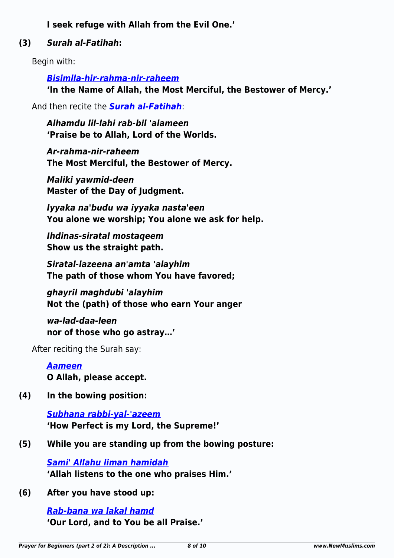**I seek refuge with Allah from the Evil One.'**

# **(3)** *Surah al-Fatihah***:**

Begin with:

*[Bisimlla-hir-rahma-nir-raheem](http://www.newmuslims.com/audio/Bisimllah.mp3)*

**'In the Name of Allah, the Most Merciful, the Bestower of Mercy.'**

And then recite the *[Surah al-Fatihah](http://www.newmuslims.com/audio/Alhamdu_lillahi_rabbil.mp3)*:

*Alhamdu lil-lahi rab-bil 'alameen* **'Praise be to Allah, Lord of the Worlds.**

*Ar-rahma-nir-raheem* **The Most Merciful, the Bestower of Mercy.**

*Maliki yawmid-deen* **Master of the Day of Judgment.**

*Iyyaka na'budu wa iyyaka nasta'een* **You alone we worship; You alone we ask for help.**

*Ihdinas-siratal mostaqeem* **Show us the straight path.**

*Siratal-lazeena an'amta 'alayhim* **The path of those whom You have favored;**

*ghayril maghdubi 'alayhim* **Not the (path) of those who earn Your anger**

*wa-lad-daa-leen* **nor of those who go astray…'**

After reciting the Surah say:

*[Aameen](http://www.newmuslims.com/audio/Aameen.mp3)* **O Allah, please accept.**

**(4) In the bowing position:**

*[Subhana rabbi-yal-'azeem](http://www.newmuslims.com/audio/Subhana_Rabbi_yal_azim.mp3)* **'How Perfect is my Lord, the Supreme!'**

**(5) While you are standing up from the bowing posture:**

*[Sami' Allahu liman hamidah](http://www.newmuslims.com/audio/Sami_Allah.mp3)* **'Allah listens to the one who praises Him.'**

**(6) After you have stood up:**

*[Rab-bana wa lakal hamd](http://www.newmuslims.com/audio/Rabbana_wa_lakal_hamd.mp3)* **'Our Lord, and to You be all Praise.'**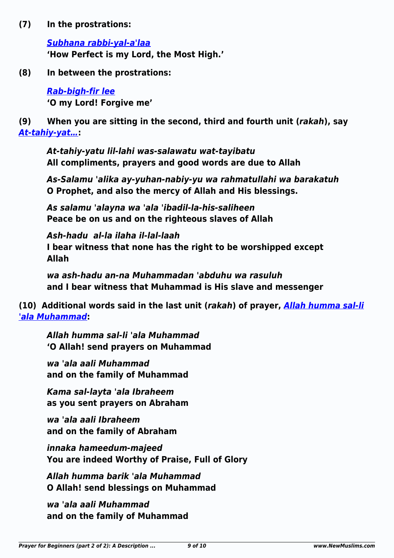**(7) In the prostrations:**

*[Subhana rabbi-yal-a'laa](http://www.newmuslims.com/audio/Subhana_Rabbi_yal_aala.mp3)* **'How Perfect is my Lord, the Most High.'**

**(8) In between the prostrations:**

*[Rab-bigh-fir lee](http://www.newmuslims.com/audio/Rabb_igh-fir_lee.mp3)* **'O my Lord! Forgive me'**

**(9) When you are sitting in the second, third and fourth unit (***rakah***), say** *[At-tahiy-yat…](http://www.newmuslims.com/audio/At-Tahiyyat.mp3)***:**

*At-tahiy-yatu lil-lahi was-salawatu wat-tayibatu* **All compliments, prayers and good words are due to Allah**

*As-Salamu 'alika ay-yuhan-nabiy-yu wa rahmatullahi wa barakatuh* **O Prophet, and also the mercy of Allah and His blessings.**

*As salamu 'alayna wa 'ala 'ibadil-la-his-saliheen* **Peace be on us and on the righteous slaves of Allah**

*Ash-hadu al-la ilaha il-lal-laah* **I bear witness that none has the right to be worshipped except Allah**

*wa ash-hadu an-na Muhammadan 'abduhu wa rasuluh* **and I bear witness that Muhammad is His slave and messenger**

**(10) Additional words said in the last unit (***rakah***) of prayer,** *[Allah humma sal-li](http://www.newmuslims.com/audio/Allah_humma_salli.mp3) ['ala Muhammad](http://www.newmuslims.com/audio/Allah_humma_salli.mp3)***:**

*Allah humma sal-li 'ala Muhammad* **'O Allah! send prayers on Muhammad**

*wa 'ala aali Muhammad* **and on the family of Muhammad**

*Kama sal-layta 'ala Ibraheem* **as you sent prayers on Abraham**

*wa 'ala aali Ibraheem* **and on the family of Abraham**

*innaka hameedum-majeed* **You are indeed Worthy of Praise, Full of Glory**

*Allah humma barik 'ala Muhammad* **O Allah! send blessings on Muhammad**

*wa 'ala aali Muhammad* **and on the family of Muhammad**